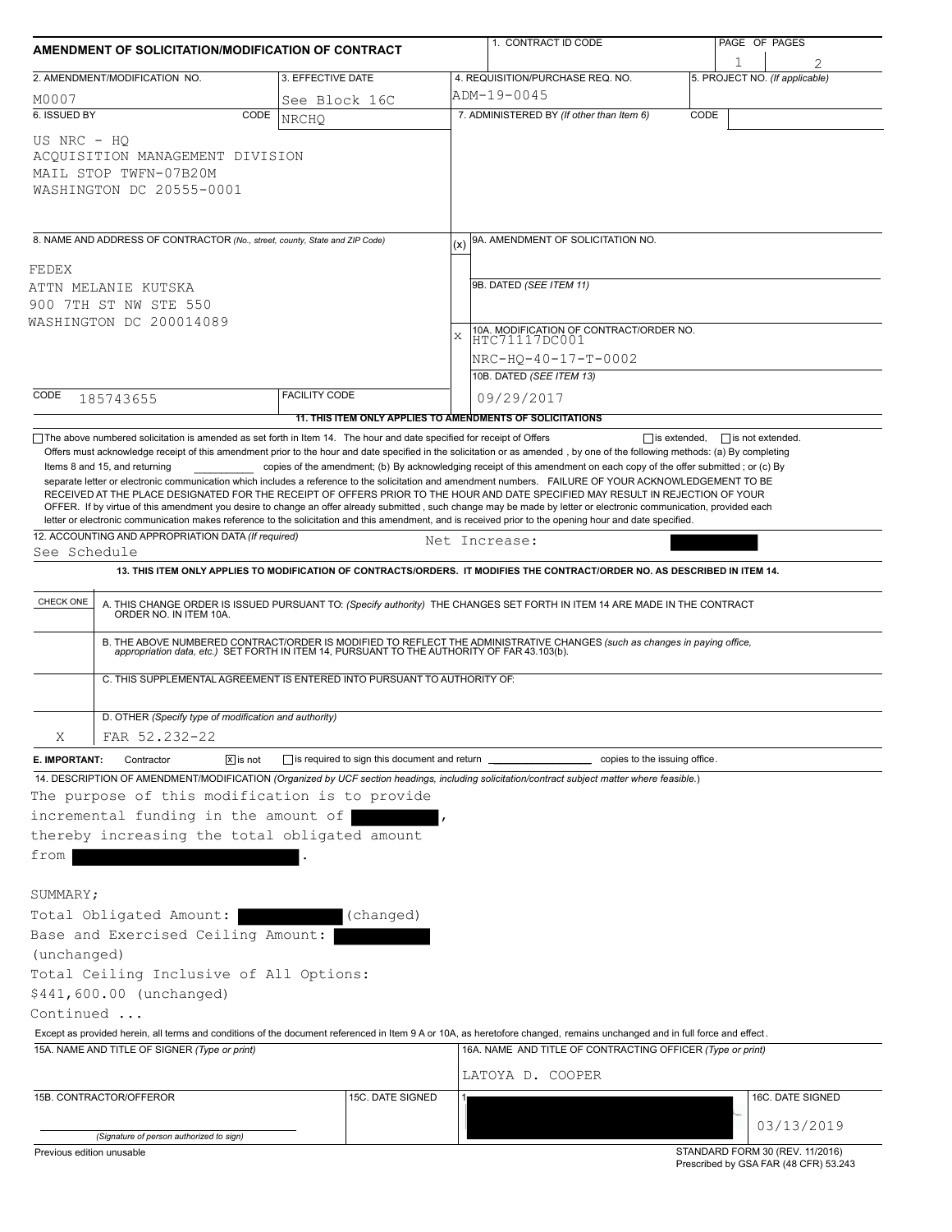| AMENDMENT OF SOLICITATION/MODIFICATION OF CONTRACT                                                                                                                                                                                                                                                                                                                                        |                                                                                                                                         |                                                           |   | 1. CONTRACT ID CODE                                                                                                                                                                                                                                                                                                                                                                                                                                                                                                                                                                                                                                                                                                                                     |      | PAGE OF PAGES                   |  |
|-------------------------------------------------------------------------------------------------------------------------------------------------------------------------------------------------------------------------------------------------------------------------------------------------------------------------------------------------------------------------------------------|-----------------------------------------------------------------------------------------------------------------------------------------|-----------------------------------------------------------|---|---------------------------------------------------------------------------------------------------------------------------------------------------------------------------------------------------------------------------------------------------------------------------------------------------------------------------------------------------------------------------------------------------------------------------------------------------------------------------------------------------------------------------------------------------------------------------------------------------------------------------------------------------------------------------------------------------------------------------------------------------------|------|---------------------------------|--|
|                                                                                                                                                                                                                                                                                                                                                                                           | 2. AMENDMENT/MODIFICATION NO.                                                                                                           | 3. EFFECTIVE DATE                                         |   | 4. REQUISITION/PURCHASE REQ. NO.                                                                                                                                                                                                                                                                                                                                                                                                                                                                                                                                                                                                                                                                                                                        |      | 5. PROJECT NO. (If applicable)  |  |
| M0007                                                                                                                                                                                                                                                                                                                                                                                     |                                                                                                                                         | See Block 16C                                             |   | ADM-19-0045                                                                                                                                                                                                                                                                                                                                                                                                                                                                                                                                                                                                                                                                                                                                             |      |                                 |  |
| 6. ISSUED BY                                                                                                                                                                                                                                                                                                                                                                              | CODE                                                                                                                                    | <b>NRCHO</b>                                              |   | 7. ADMINISTERED BY (If other than Item 6)                                                                                                                                                                                                                                                                                                                                                                                                                                                                                                                                                                                                                                                                                                               | CODE |                                 |  |
| US NRC - HQ                                                                                                                                                                                                                                                                                                                                                                               | ACQUISITION MANAGEMENT DIVISION<br>MAIL STOP TWFN-07B20M<br>WASHINGTON DC 20555-0001                                                    |                                                           |   |                                                                                                                                                                                                                                                                                                                                                                                                                                                                                                                                                                                                                                                                                                                                                         |      |                                 |  |
|                                                                                                                                                                                                                                                                                                                                                                                           | 8. NAME AND ADDRESS OF CONTRACTOR (No., street, county, State and ZIP Code)                                                             |                                                           |   | 9A. AMENDMENT OF SOLICITATION NO.                                                                                                                                                                                                                                                                                                                                                                                                                                                                                                                                                                                                                                                                                                                       |      |                                 |  |
| FEDEX                                                                                                                                                                                                                                                                                                                                                                                     |                                                                                                                                         |                                                           |   |                                                                                                                                                                                                                                                                                                                                                                                                                                                                                                                                                                                                                                                                                                                                                         |      |                                 |  |
|                                                                                                                                                                                                                                                                                                                                                                                           | ATTN MELANIE KUTSKA                                                                                                                     |                                                           |   | 9B. DATED (SEE ITEM 11)                                                                                                                                                                                                                                                                                                                                                                                                                                                                                                                                                                                                                                                                                                                                 |      |                                 |  |
|                                                                                                                                                                                                                                                                                                                                                                                           | 900 7TH ST NW STE 550                                                                                                                   |                                                           |   |                                                                                                                                                                                                                                                                                                                                                                                                                                                                                                                                                                                                                                                                                                                                                         |      |                                 |  |
|                                                                                                                                                                                                                                                                                                                                                                                           | WASHINGTON DC 200014089                                                                                                                 |                                                           | X | 10A. MODIFICATION OF CONTRACT/ORDER NO.                                                                                                                                                                                                                                                                                                                                                                                                                                                                                                                                                                                                                                                                                                                 |      |                                 |  |
|                                                                                                                                                                                                                                                                                                                                                                                           |                                                                                                                                         |                                                           |   | HTC71117DC001                                                                                                                                                                                                                                                                                                                                                                                                                                                                                                                                                                                                                                                                                                                                           |      |                                 |  |
|                                                                                                                                                                                                                                                                                                                                                                                           |                                                                                                                                         |                                                           |   | NRC-HQ-40-17-T-0002                                                                                                                                                                                                                                                                                                                                                                                                                                                                                                                                                                                                                                                                                                                                     |      |                                 |  |
|                                                                                                                                                                                                                                                                                                                                                                                           |                                                                                                                                         |                                                           |   | 10B. DATED (SEE ITEM 13)                                                                                                                                                                                                                                                                                                                                                                                                                                                                                                                                                                                                                                                                                                                                |      |                                 |  |
| CODE                                                                                                                                                                                                                                                                                                                                                                                      | 185743655                                                                                                                               | <b>FACILITY CODE</b>                                      |   | 09/29/2017                                                                                                                                                                                                                                                                                                                                                                                                                                                                                                                                                                                                                                                                                                                                              |      |                                 |  |
|                                                                                                                                                                                                                                                                                                                                                                                           | $\Box$ The above numbered solicitation is amended as set forth in Item 14. The hour and date specified for receipt of Offers            | 11. THIS ITEM ONLY APPLIES TO AMENDMENTS OF SOLICITATIONS |   | $\Box$ is extended,                                                                                                                                                                                                                                                                                                                                                                                                                                                                                                                                                                                                                                                                                                                                     |      |                                 |  |
|                                                                                                                                                                                                                                                                                                                                                                                           | Items 8 and 15, and returning                                                                                                           |                                                           |   | copies of the amendment; (b) By acknowledging receipt of this amendment on each copy of the offer submitted; or (c) By<br>separate letter or electronic communication which includes a reference to the solicitation and amendment numbers. FAILURE OF YOUR ACKNOWLEDGEMENT TO BE<br>RECEIVED AT THE PLACE DESIGNATED FOR THE RECEIPT OF OFFERS PRIOR TO THE HOUR AND DATE SPECIFIED MAY RESULT IN REJECTION OF YOUR<br>OFFER. If by virtue of this amendment you desire to change an offer already submitted, such change may be made by letter or electronic communication, provided each<br>letter or electronic communication makes reference to the solicitation and this amendment, and is received prior to the opening hour and date specified. |      |                                 |  |
|                                                                                                                                                                                                                                                                                                                                                                                           | 12. ACCOUNTING AND APPROPRIATION DATA (If required)                                                                                     |                                                           |   | Net Increase:                                                                                                                                                                                                                                                                                                                                                                                                                                                                                                                                                                                                                                                                                                                                           |      |                                 |  |
| See Schedule                                                                                                                                                                                                                                                                                                                                                                              |                                                                                                                                         |                                                           |   |                                                                                                                                                                                                                                                                                                                                                                                                                                                                                                                                                                                                                                                                                                                                                         |      |                                 |  |
|                                                                                                                                                                                                                                                                                                                                                                                           |                                                                                                                                         |                                                           |   | 13. THIS ITEM ONLY APPLIES TO MODIFICATION OF CONTRACTS/ORDERS. IT MODIFIES THE CONTRACT/ORDER NO. AS DESCRIBED IN ITEM 14.                                                                                                                                                                                                                                                                                                                                                                                                                                                                                                                                                                                                                             |      |                                 |  |
| CHECK ONE<br>A. THIS CHANGE ORDER IS ISSUED PURSUANT TO: (Specify authority) THE CHANGES SET FORTH IN ITEM 14 ARE MADE IN THE CONTRACT ORDER NO. IN ITEM 10A.<br>B. THE ABOVE NUMBERED CONTRACT/ORDER IS MODIFIED TO REFLECT THE ADMINISTRATIVE CHANGES (such as changes in paying office,<br>appropriation data, etc.) SET FORTH IN ITEM 14, PURSUANT TO THE AUTHORITY OF FAR 43.103(b). |                                                                                                                                         |                                                           |   |                                                                                                                                                                                                                                                                                                                                                                                                                                                                                                                                                                                                                                                                                                                                                         |      |                                 |  |
|                                                                                                                                                                                                                                                                                                                                                                                           |                                                                                                                                         |                                                           |   |                                                                                                                                                                                                                                                                                                                                                                                                                                                                                                                                                                                                                                                                                                                                                         |      |                                 |  |
|                                                                                                                                                                                                                                                                                                                                                                                           | C. THIS SUPPLEMENTAL AGREEMENT IS ENTERED INTO PURSUANT TO AUTHORITY OF:                                                                |                                                           |   |                                                                                                                                                                                                                                                                                                                                                                                                                                                                                                                                                                                                                                                                                                                                                         |      |                                 |  |
|                                                                                                                                                                                                                                                                                                                                                                                           | D. OTHER (Specify type of modification and authority)                                                                                   |                                                           |   |                                                                                                                                                                                                                                                                                                                                                                                                                                                                                                                                                                                                                                                                                                                                                         |      |                                 |  |
| Χ                                                                                                                                                                                                                                                                                                                                                                                         | FAR 52.232-22                                                                                                                           |                                                           |   |                                                                                                                                                                                                                                                                                                                                                                                                                                                                                                                                                                                                                                                                                                                                                         |      |                                 |  |
| E. IMPORTANT:                                                                                                                                                                                                                                                                                                                                                                             | $\sqrt{x}$ is not<br>Contractor                                                                                                         | is required to sign this document and return __           |   | copies to the issuing office.                                                                                                                                                                                                                                                                                                                                                                                                                                                                                                                                                                                                                                                                                                                           |      |                                 |  |
| from                                                                                                                                                                                                                                                                                                                                                                                      | The purpose of this modification is to provide<br>incremental funding in the amount of<br>thereby increasing the total obligated amount |                                                           |   | 14. DESCRIPTION OF AMENDMENT/MODIFICATION (Organized by UCF section headings, including solicitation/contract subject matter where feasible.)                                                                                                                                                                                                                                                                                                                                                                                                                                                                                                                                                                                                           |      |                                 |  |
| SUMMARY;                                                                                                                                                                                                                                                                                                                                                                                  |                                                                                                                                         |                                                           |   |                                                                                                                                                                                                                                                                                                                                                                                                                                                                                                                                                                                                                                                                                                                                                         |      |                                 |  |
|                                                                                                                                                                                                                                                                                                                                                                                           | Total Obligated Amount:                                                                                                                 | (changed)                                                 |   |                                                                                                                                                                                                                                                                                                                                                                                                                                                                                                                                                                                                                                                                                                                                                         |      |                                 |  |
|                                                                                                                                                                                                                                                                                                                                                                                           | Base and Exercised Ceiling Amount:                                                                                                      |                                                           |   |                                                                                                                                                                                                                                                                                                                                                                                                                                                                                                                                                                                                                                                                                                                                                         |      |                                 |  |
| (unchanged)                                                                                                                                                                                                                                                                                                                                                                               |                                                                                                                                         |                                                           |   |                                                                                                                                                                                                                                                                                                                                                                                                                                                                                                                                                                                                                                                                                                                                                         |      |                                 |  |
|                                                                                                                                                                                                                                                                                                                                                                                           | Total Ceiling Inclusive of All Options:                                                                                                 |                                                           |   |                                                                                                                                                                                                                                                                                                                                                                                                                                                                                                                                                                                                                                                                                                                                                         |      |                                 |  |
|                                                                                                                                                                                                                                                                                                                                                                                           | \$441,600.00 (unchanged)                                                                                                                |                                                           |   |                                                                                                                                                                                                                                                                                                                                                                                                                                                                                                                                                                                                                                                                                                                                                         |      |                                 |  |
| Continued                                                                                                                                                                                                                                                                                                                                                                                 |                                                                                                                                         |                                                           |   |                                                                                                                                                                                                                                                                                                                                                                                                                                                                                                                                                                                                                                                                                                                                                         |      |                                 |  |
|                                                                                                                                                                                                                                                                                                                                                                                           |                                                                                                                                         |                                                           |   | Except as provided herein, all terms and conditions of the document referenced in Item 9 A or 10A, as heretofore changed, remains unchanged and in full force and effect.                                                                                                                                                                                                                                                                                                                                                                                                                                                                                                                                                                               |      |                                 |  |
| 15A. NAME AND TITLE OF SIGNER (Type or print)                                                                                                                                                                                                                                                                                                                                             |                                                                                                                                         |                                                           |   | 16A. NAME AND TITLE OF CONTRACTING OFFICER (Type or print)                                                                                                                                                                                                                                                                                                                                                                                                                                                                                                                                                                                                                                                                                              |      |                                 |  |
|                                                                                                                                                                                                                                                                                                                                                                                           |                                                                                                                                         |                                                           |   | LATOYA D. COOPER                                                                                                                                                                                                                                                                                                                                                                                                                                                                                                                                                                                                                                                                                                                                        |      |                                 |  |
|                                                                                                                                                                                                                                                                                                                                                                                           | 15B. CONTRACTOR/OFFEROR                                                                                                                 |                                                           |   |                                                                                                                                                                                                                                                                                                                                                                                                                                                                                                                                                                                                                                                                                                                                                         |      |                                 |  |
|                                                                                                                                                                                                                                                                                                                                                                                           |                                                                                                                                         | 15C. DATE SIGNED                                          |   |                                                                                                                                                                                                                                                                                                                                                                                                                                                                                                                                                                                                                                                                                                                                                         |      | 16C. DATE SIGNED                |  |
|                                                                                                                                                                                                                                                                                                                                                                                           |                                                                                                                                         |                                                           |   |                                                                                                                                                                                                                                                                                                                                                                                                                                                                                                                                                                                                                                                                                                                                                         |      | 03/13/2019                      |  |
| Previous edition unusable                                                                                                                                                                                                                                                                                                                                                                 | (Signature of person authorized to sign)                                                                                                |                                                           |   |                                                                                                                                                                                                                                                                                                                                                                                                                                                                                                                                                                                                                                                                                                                                                         |      | STANDARD FORM 30 (REV. 11/2016) |  |

Prescribed by GSA FAR (48 CFR) 53.243